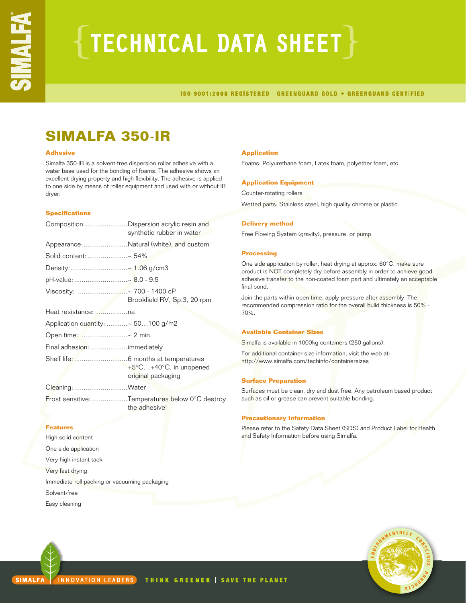# $\{{\color{red}$ TECHNICAL DATA SHEET $\}$

ISO 9001:2008 REGISTERED | GREENGUARD GOLD + GREENGUARD CERTIFIED

### **SIMALFA 350-IR**

#### **Adhesive**

Simalfa 350-IR is a solvent-free dispersion roller adhesive with a water base used for the bonding of foams. The adhesive shows an excellent drying property and high flexibility. The adhesive is applied to one side by means of roller equipment and used with or without IR dryer.

#### **Specifications**

| Composition: Dispersion acrylic resin and<br>synthetic rubber in water |  |
|------------------------------------------------------------------------|--|
| Appearance: Natural (white), and custom                                |  |
| Solid content: ~ 54%                                                   |  |
| Density:~ 1.06 g/cm3                                                   |  |
| pH-value: ~ 8.0 - 9.5                                                  |  |
| Brookfield RV, Sp.3, 20 rpm                                            |  |
|                                                                        |  |
| Application quantity: ~ 50100 g/m2                                     |  |
| Open time: ~ 2 min.                                                    |  |
| Final adhesion: immediately                                            |  |
| +5°C+40°C, in unopened<br>original packaging                           |  |
| Cleaning: Water                                                        |  |
| Frost sensitive: Temperatures below 0°C destroy<br>the adhesive!       |  |
|                                                                        |  |
|                                                                        |  |

High solid content One side application Very high instant tack Very fast drying Immediate roll packing or vacuuming packaging Solvent-free Easy cleaning

#### **Application**

Foams: Polyurethane foam, Latex foam, polyether foam, etc.

#### **Application Equipment**

Counter-rotating rollers Wetted parts: Stainless steel, high quality chrome or plastic

#### **Delivery method**

Free Flowing System (gravity), pressure, or pump

#### **Processing**

One side application by roller, heat drying at approx. 60°C, make sure product is NOT completely dry before assembly in order to achieve good adhesive transfer to the non-coated foam part and ultimately an acceptable final bond.

Join the parts within open time, apply pressure after assembly. The recommended compression ratio for the overall build thickness is 50% - 70%.

#### **Available Container Sizes**

Simalfa is available in 1000kg containers (250 gallons).

For additional container size information, visit the web at: http://www.simalfa.com/techinfo/containersizes

#### **Surface Preparation**

Surfaces must be clean, dry and dust free. Any petroleum based product such as oil or grease can prevent suitable bonding.

#### **Precautionary Information**

Please refer to the Safety Data Sheet (SDS) and Product Label for Health and Safety Information before using Simalfa.

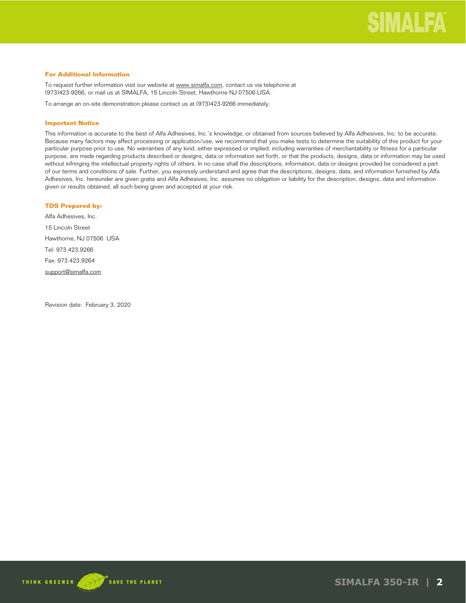#### **For Additional Information**

To request further information visit our website at www.simalfa.com, contact us via telephone at (973)423-9266, or mail us at SIMALFA, 15 Lincoln Street, Hawthorne NJ 07506 USA.

To arrange an on-site demonstration please contact us at (973)423-9266 immediately.

#### **Important Notice**

This information is accurate to the best of Alfa Adhesives, Inc.'s knowledge, or obtained from sources believed by Alfa Adhesives, Inc. to be accurate. Because many factors may affect processing or application/use, we recommend that you make tests to determine the suitability of this product for your particular purpose prior to use. No warranties of any kind, either expressed or implied, including warranties of merchantability or fitness for a particular purpose, are made regarding products described or designs, data or information set forth, or that the products, designs, data or information may be used without infringing the intellectual property rights of others. In no case shall the descriptions, information, data or designs provided be considered a part of our terms and conditions of sale. Further, you expressly understand and agree that the descriptions, designs, data, and information furnished by Alfa Adhesives, Inc. hereunder are given gratis and Alfa Adhesives, Inc. assumes no obligation or liability for the description, designs, data and information given or results obtained, all such being given and accepted at your risk.

#### **TDS Prepared by:**

Alfa Adhesives, Inc. 15 Lincoln Street Hawthorne, NJ 07506 USA Tel: 973.423.9266 Fax: 973.423.9264 support@simalfa.com

Revision date: February 3, 2020

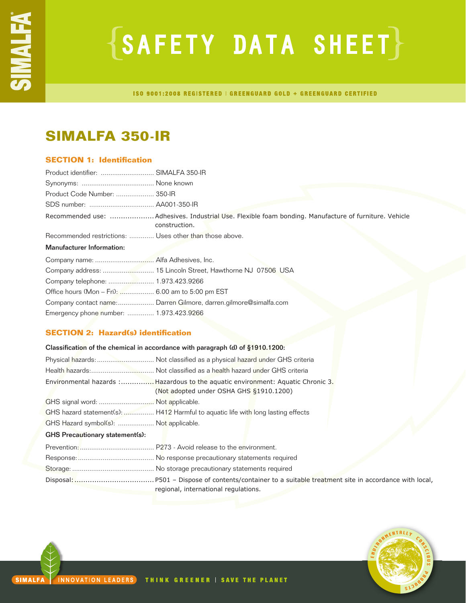# ${SAFFITY}$  DATA SHEET $}$

ISO 9001:2008 REGISTERED | GREENGUARD GOLD + GREENGUARD CERTIFIED

### **SIMALFA 350-IR**

#### **SECTION 1: Identification**

| Product identifier:  SIMALFA 350-IR                     |                                                                                                                       |
|---------------------------------------------------------|-----------------------------------------------------------------------------------------------------------------------|
|                                                         |                                                                                                                       |
| Product Code Number:  350-IR                            |                                                                                                                       |
|                                                         |                                                                                                                       |
|                                                         | Recommended use: Adhesives. Industrial Use. Flexible foam bonding. Manufacture of furniture. Vehicle<br>construction. |
| Recommended restrictions:  Uses other than those above. |                                                                                                                       |
| <b>Manufacturer Information:</b>                        |                                                                                                                       |
|                                                         |                                                                                                                       |
|                                                         |                                                                                                                       |
|                                                         |                                                                                                                       |
| Office hours (Mon - Fri):  6.00 am to 5:00 pm EST       |                                                                                                                       |
|                                                         | Company contact name: Darren Gilmore, darren.gilmore@simalfa.com                                                      |
| Emergency phone number:  1.973.423.9266                 |                                                                                                                       |
|                                                         |                                                                                                                       |

#### **SECTION 2: Hazard(s) identification**

| Classification of the chemical in accordance with paragraph (d) of §1910.1200: |                                                                                                                             |  |
|--------------------------------------------------------------------------------|-----------------------------------------------------------------------------------------------------------------------------|--|
|                                                                                |                                                                                                                             |  |
|                                                                                |                                                                                                                             |  |
|                                                                                | Environmental hazards : Hazardous to the aquatic environment: Aquatic Chronic 3.<br>(Not adopted under OSHA GHS §1910.1200) |  |
| GHS signal word:  Not applicable.                                              |                                                                                                                             |  |
|                                                                                | GHS hazard statement(s):  H412 Harmful to aquatic life with long lasting effects                                            |  |
| GHS Hazard symbol(s):  Not applicable.                                         |                                                                                                                             |  |
| <b>GHS Precautionary statement(s):</b>                                         |                                                                                                                             |  |
|                                                                                |                                                                                                                             |  |
|                                                                                |                                                                                                                             |  |
|                                                                                |                                                                                                                             |  |
|                                                                                | regional, international regulations.                                                                                        |  |

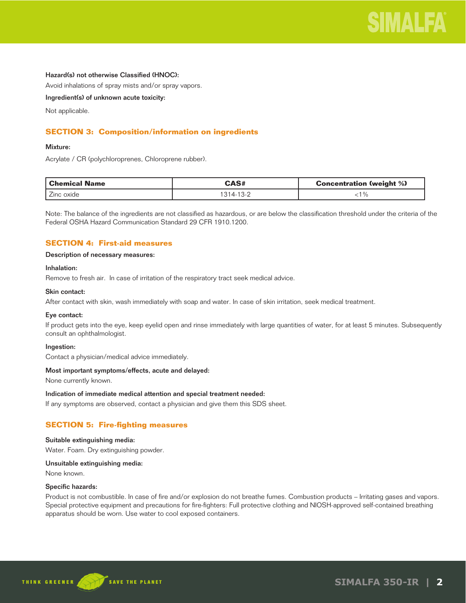

#### Hazard(s) not otherwise Classified (HNOC):

Avoid inhalations of spray mists and/or spray vapors.

Ingredient(s) of unknown acute toxicity:

Not applicable.

#### **SECTION 3: Composition/information on ingredients**

#### Mixture:

Acrylate / CR (polychloroprenes, Chloroprene rubber).

| Chemical Name | <b>CAS#</b> | <b>Concentration (weight %)</b> |
|---------------|-------------|---------------------------------|
| Zinc oxide    | 314-13-2    | $\%$                            |

Note: The balance of the ingredients are not classified as hazardous, or are below the classification threshold under the criteria of the Federal OSHA Hazard Communication Standard 29 CFR 1910.1200.

#### **SECTION 4: First-aid measures**

#### Description of necessary measures:

#### Inhalation:

Remove to fresh air. In case of irritation of the respiratory tract seek medical advice.

#### Skin contact:

After contact with skin, wash immediately with soap and water. In case of skin irritation, seek medical treatment.

#### Eye contact:

If product gets into the eye, keep eyelid open and rinse immediately with large quantities of water, for at least 5 minutes. Subsequently consult an ophthalmologist.

#### Ingestion:

Contact a physician/medical advice immediately.

#### Most important symptoms/effects, acute and delayed:

None currently known.

#### Indication of immediate medical attention and special treatment needed:

If any symptoms are observed, contact a physician and give them this SDS sheet.

#### **SECTION 5: Fire-fighting measures**

#### Suitable extinguishing media:

Water. Foam. Dry extinguishing powder.

#### Unsuitable extinguishing media:

None known.

#### Specific hazards:

Product is not combustible. In case of fire and/or explosion do not breathe fumes. Combustion products – Irritating gases and vapors. Special protective equipment and precautions for fire-fighters: Full protective clothing and NIOSH-approved self-contained breathing apparatus should be worn. Use water to cool exposed containers.

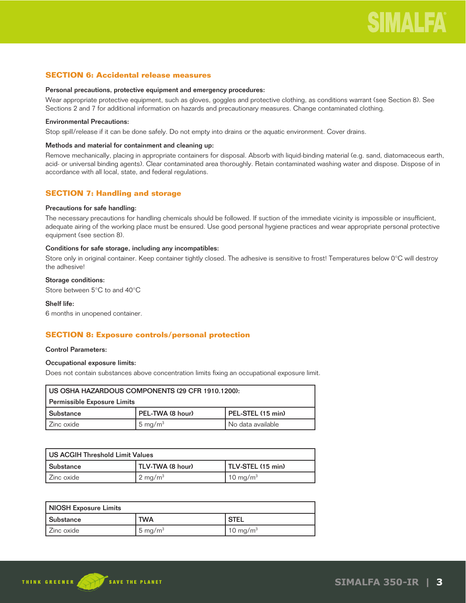#### **SECTION 6: Accidental release measures**

#### Personal precautions, protective equipment and emergency procedures:

Wear appropriate protective equipment, such as gloves, goggles and protective clothing, as conditions warrant (see Section 8). See Sections 2 and 7 for additional information on hazards and precautionary measures. Change contaminated clothing.

#### Environmental Precautions:

Stop spill/release if it can be done safely. Do not empty into drains or the aquatic environment. Cover drains.

#### Methods and material for containment and cleaning up:

Remove mechanically, placing in appropriate containers for disposal. Absorb with liquid-binding material (e.g. sand, diatomaceous earth, acid- or universal binding agents). Clear contaminated area thoroughly. Retain contaminated washing water and dispose. Dispose of in accordance with all local, state, and federal regulations.

#### **SECTION 7: Handling and storage**

#### Precautions for safe handling:

The necessary precautions for handling chemicals should be followed. If suction of the immediate vicinity is impossible or insufficient, adequate airing of the working place must be ensured. Use good personal hygiene practices and wear appropriate personal protective equipment (see section 8).

#### Conditions for safe storage, including any incompatibles:

Store only in original container. Keep container tightly closed. The adhesive is sensitive to frost! Temperatures below 0°C will destroy the adhesive!

#### Storage conditions:

Store between 5°C to and 40°C

#### Shelf life:

6 months in unopened container.

#### **SECTION 8: Exposure controls/personal protection**

#### Control Parameters:

#### Occupational exposure limits:

Does not contain substances above concentration limits fixing an occupational exposure limit.

| I US OSHA HAZARDOUS COMPONENTS (29 CFR 1910.1200):        |                  |                   |  |
|-----------------------------------------------------------|------------------|-------------------|--|
| Permissible Exposure Limits                               |                  |                   |  |
| l Substance                                               | PEL-TWA (8 hour) | PEL-STEL (15 min) |  |
| $5 \text{ mg/m}^3$<br>  No data available<br>l Zinc oxide |                  |                   |  |

| l US ACGIH Threshold Limit Values |                    |                   |  |
|-----------------------------------|--------------------|-------------------|--|
| l Substance                       | TLV-TWA (8 hour)   | TLV-STEL (15 min) |  |
| l Zinc oxide                      | $2 \text{ mg/m}^3$ | 10 mg/m $3$       |  |

| NIOSH Exposure Limits |            |                      |
|-----------------------|------------|----------------------|
| l Substance           | <b>TWA</b> | ' STEL               |
| l Zinc oxide          | 5 mg/m $3$ | 10 mg/m <sup>3</sup> |

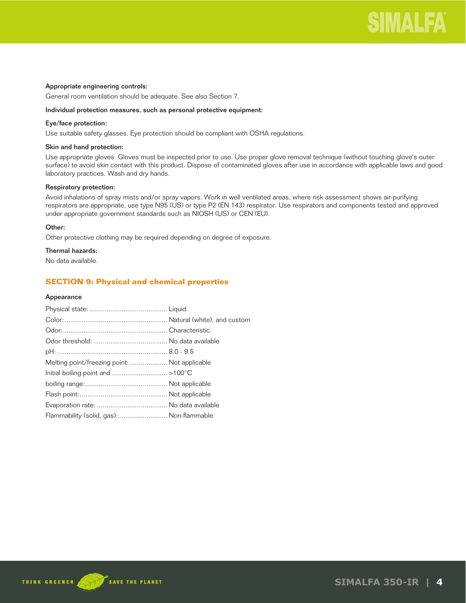

#### Appropriate engineering controls:

General room ventilation should be adequate. See also Section 7.

#### Individual protection measures, such as personal protective equipment:

#### Eye/face protection:

Use suitable safety glasses. Eye protection should be compliant with OSHA regulations.

#### Skin and hand protection:

Use appropriate gloves. Gloves must be inspected prior to use. Use proper glove removal technique (without touching glove's outer surface) to avoid skin contact with this product. Dispose of contaminated gloves after use in accordance with applicable laws and good laboratory practices. Wash and dry hands.

#### Respiratory protection:

Avoid inhalations of spray mists and/or spray vapors. Work in well ventilated areas, where risk assessment shows air-purifying respirators are appropriate, use type N95 (US) or type P2 (EN 143) respirator. Use respirators and components tested and approved under appropriate government standards such as NIOSH (US) or CEN (EU).

#### Other:

Other protective clothing may be required depending on degree of exposure.

#### Thermal hazards:

No data available.

#### **SECTION 9: Physical and chemical properties**

#### Appearance

| Melting point/freezing point:  Not applicable |  |
|-----------------------------------------------|--|
|                                               |  |
|                                               |  |
|                                               |  |
|                                               |  |
| Flammability (solid, gas): Non-flammable      |  |

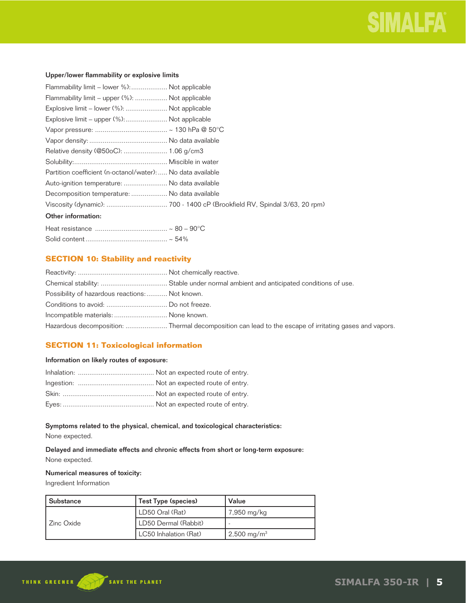#### Upper/lower flammability or explosive limits

| Flammability limit – lower %): Not applicable               |  |
|-------------------------------------------------------------|--|
| Flammability limit – upper (%):  Not applicable             |  |
| Explosive limit - lower (%):  Not applicable                |  |
| Explosive limit - upper (%):  Not applicable                |  |
|                                                             |  |
|                                                             |  |
|                                                             |  |
|                                                             |  |
| Partition coefficient (n-octanol/water):  No data available |  |
| Auto-ignition temperature:  No data available               |  |
| Decomposition temperature:  No data available               |  |
|                                                             |  |
| Other information:                                          |  |
|                                                             |  |
|                                                             |  |

#### **SECTION 10: Stability and reactivity**

| Possibility of hazardous reactions: Not known. |                                                                                                       |
|------------------------------------------------|-------------------------------------------------------------------------------------------------------|
|                                                |                                                                                                       |
| Incompatible materials:  None known.           |                                                                                                       |
|                                                | Hazardous decomposition: Thermal decomposition can lead to the escape of irritating gases and vapors. |

#### **SECTION 11: Toxicological information**

#### Information on likely routes of exposure:

#### Symptoms related to the physical, chemical, and toxicological characteristics:

None expected.

Delayed and immediate effects and chronic effects from short or long-term exposure: None expected.

#### Numerical measures of toxicity:

Ingredient Information

| Substance  | Test Type (species)   | Value                  |
|------------|-----------------------|------------------------|
|            | LD50 Oral (Rat)       | 7,950 mg/kg            |
| Zinc Oxide | LD50 Dermal (Rabbit)  |                        |
|            | LC50 Inhalation (Rat) | $2,500 \text{ mg/m}^3$ |

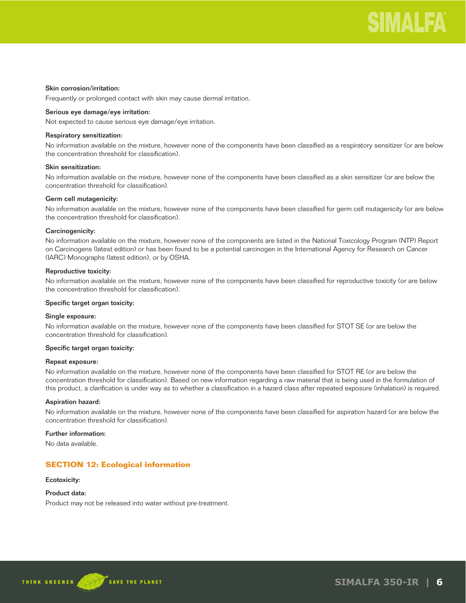#### Skin corrosion/irritation:

Frequently or prolonged contact with skin may cause dermal irritation.

#### Serious eye damage/eye irritation:

Not expected to cause serious eye damage/eye irritation.

#### Respiratory sensitization:

No information available on the mixture, however none of the components have been classified as a respiratory sensitizer (or are below the concentration threshold for classification).

#### Skin sensitization:

No information available on the mixture, however none of the components have been classified as a skin sensitizer (or are below the concentration threshold for classification).

#### Germ cell mutagenicity:

No information available on the mixture, however none of the components have been classified for germ cell mutagenicity (or are below the concentration threshold for classification).

#### Carcinogenicity:

No information available on the mixture, however none of the components are listed in the National Toxicology Program (NTP) Report on Carcinogens (latest edition) or has been found to be a potential carcinogen in the International Agency for Research on Cancer (IARC) Monographs (latest edition), or by OSHA.

#### Reproductive toxicity:

No information available on the mixture, however none of the components have been classified for reproductive toxicity (or are below the concentration threshold for classification).

#### Specific target organ toxicity:

#### Single exposure:

No information available on the mixture, however none of the components have been classified for STOT SE (or are below the concentration threshold for classification).

#### Specific target organ toxicity:

#### Repeat exposure:

No information available on the mixture, however none of the components have been classified for STOT RE (or are below the concentration threshold for classification). Based on new information regarding a raw material that is being used in the formulation of this product, a clarification is under way as to whether a classification in a hazard class after repeated exposure (inhalation) is required.

#### Aspiration hazard:

No information available on the mixture, however none of the components have been classified for aspiration hazard (or are below the concentration threshold for classification).

#### Further information:

No data available.

#### **SECTION 12: Ecological information**

#### Ecotoxicity:

#### Product data:

Product may not be released into water without pre-treatment.



**SIMALFA 350-IR | 6**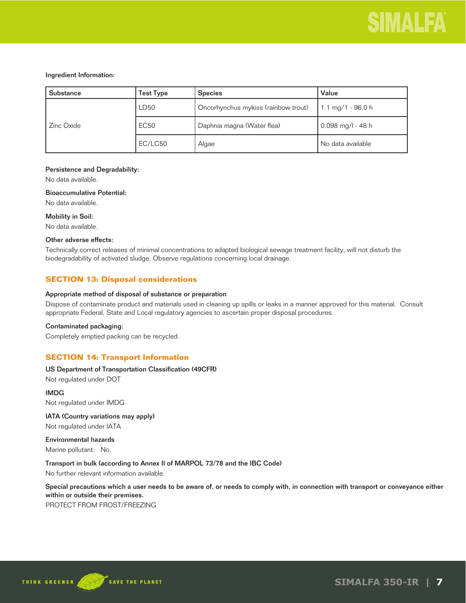#### Ingredient Information:

| <b>Substance</b> | Test Type   | <b>Species</b>                      | Value               |
|------------------|-------------|-------------------------------------|---------------------|
| Zinc Oxide       | LD50        | Oncorhynchus mykiss (rainbow trout) | 1.1 mg/1 - 96.0 h   |
|                  | <b>EC50</b> | Daphnia magna (Water flea)          | $0.098$ mg/l - 48 h |
|                  | EC/LC50     | Algae                               | No data available   |

#### Persistence and Degradability:

No data available.

#### Bioaccumulative Potential:

No data available.

Mobility in Soil:

No data available.

#### Other adverse effects:

Technically correct releases of minimal concentrations to adapted biological sewage treatment facility, will not disturb the biodegradability of activated sludge. Observe regulations concerning local drainage.

#### **SECTION 13: Disposal considerations**

#### Appropriate method of disposal of substance or preparation

Dispose of contaminate product and materials used in cleaning up spills or leaks in a manner approved for this material. Consult appropriate Federal, State and Local regulatory agencies to ascertain proper disposal procedures.

#### Contaminated packaging:

Completely emptied packing can be recycled.

#### **SECTION 14: Transport Information**

#### US Department of Transportation Classification (49CFR)

Not regulated under DOT

#### IMDG

Not regulated under IMDG

#### IATA (Country variations may apply)

Not regulated under IATA

#### Environmental hazards Marine pollutant: No.

Transport in bulk (according to Annex II of MARPOL 73/78 and the IBC Code)

No further relevant information available.

Special precautions which a user needs to be aware of, or needs to comply with, in connection with transport or conveyance either within or outside their premises.

PROTECT FROM FROST/FREEZING

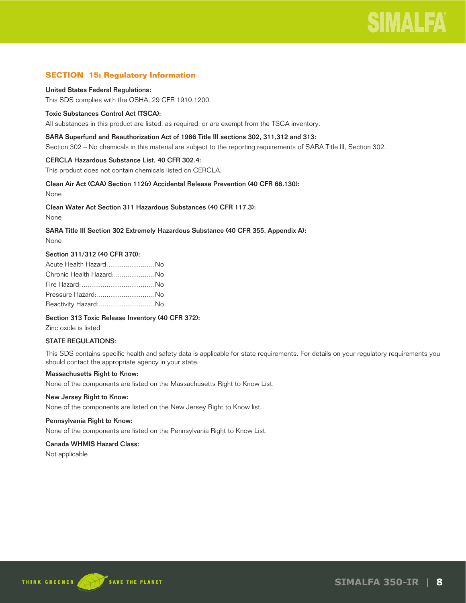#### **SECTION 15: Regulatory Information**

#### United States Federal Regulations:

This SDS complies with the OSHA, 29 CFR 1910.1200.

#### Toxic Substances Control Act (TSCA):

All substances in this product are listed, as required, or are exempt from the TSCA inventory.

#### SARA Superfund and Reauthorization Act of 1986 Title III sections 302, 311,312 and 313:

Section 302 – No chemicals in this material are subject to the reporting requirements of SARA Title III, Section 302.

#### CERCLA Hazardous Substance List, 40 CFR 302.4:

This product does not contain chemicals listed on CERCLA.

#### Clean Air Act (CAA) Section 112(r) Accidental Release Prevention (40 CFR 68.130):

None

#### Clean Water Act Section 311 Hazardous Substances (40 CFR 117.3):

None

#### SARA Title III Section 302 Extremely Hazardous Substance (40 CFR 355, Appendix A):

None

#### Section 311/312 (40 CFR 370):

| Acute Health Hazard: No  |  |
|--------------------------|--|
| Chronic Health Hazard:No |  |
|                          |  |
| Pressure Hazard:  No     |  |
| Reactivity Hazard: No    |  |

#### Section 313 Toxic Release Inventory (40 CFR 372):

Zinc oxide is listed

#### STATE REGULATIONS:

This SDS contains specific health and safety data is applicable for state requirements. For details on your regulatory requirements you should contact the appropriate agency in your state.

#### Massachusetts Right to Know:

None of the components are listed on the Massachusetts Right to Know List.

#### New Jersey Right to Know:

None of the components are listed on the New Jersey Right to Know list.

#### Pennsylvania Right to Know:

None of the components are listed on the Pennsylvania Right to Know List.

#### Canada WHMIS Hazard Class:

Not applicable